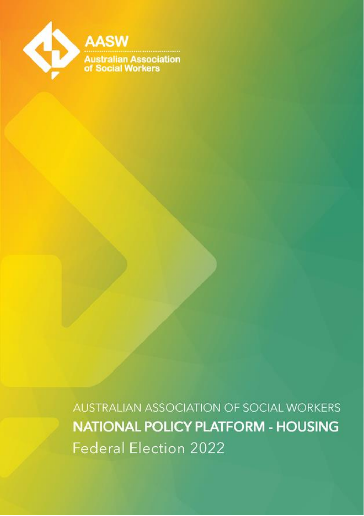

AUSTRALIAN ASSOCIATION OF SOCIAL WORKERS **NATIONAL POLICY PLATFORM - HOUSING Federal Election 2022**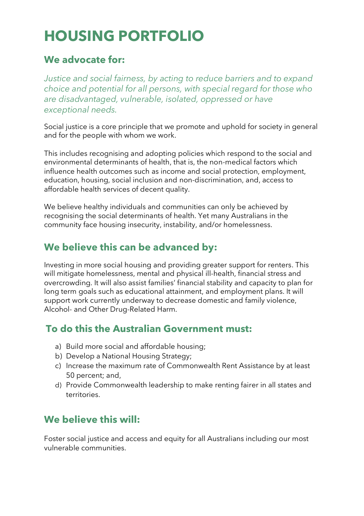# **HOUSING PORTFOLIO**

# **We advocate for:**

*Justice and social fairness, by acting to reduce barriers and to expand choice and potential for all persons, with special regard for those who are disadvantaged, vulnerable, isolated, oppressed or have exceptional needs.*

Social justice is a core principle that we promote and uphold for society in general and for the people with whom we work.

This includes recognising and adopting policies which respond to the social and environmental determinants of health, that is, the non-medical factors which influence health outcomes such as income and social protection, employment, education, housing, social inclusion and non-discrimination, and, access to affordable health services of decent quality.

We believe healthy individuals and communities can only be achieved by recognising the social determinants of health. Yet many Australians in the community face housing insecurity, instability, and/or homelessness.

# **We believe this can be advanced by:**

Investing in more social housing and providing greater support for renters. This will mitigate homelessness, mental and physical ill-health, financial stress and overcrowding. It will also assist families' financial stability and capacity to plan for long term goals such as educational attainment, and employment plans. It will support work currently underway to decrease domestic and family violence, Alcohol- and Other Drug-Related Harm.

#### **To do this the Australian Government must:**

- a) Build more social and affordable housing;
- b) Develop a National Housing Strategy;
- c) Increase the maximum rate of Commonwealth Rent Assistance by at least 50 percent; and,
- d) Provide Commonwealth leadership to make renting fairer in all states and territories.

# **We believe this will:**

Foster social justice and access and equity for all Australians including our most vulnerable communities.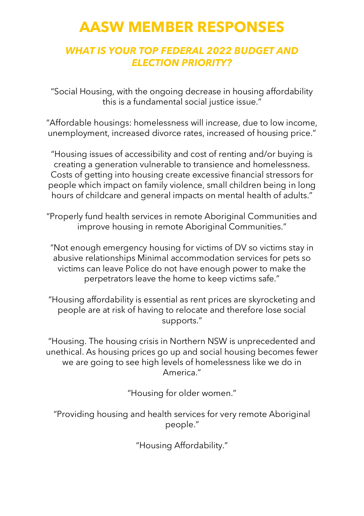# **AASW MEMBER RESPONSES**

#### *WHAT IS YOUR TOP FEDERAL 2022 BUDGET AND ELECTION PRIORITY?*

"Social Housing, with the ongoing decrease in housing affordability this is a fundamental social justice issue."

"Affordable housings: homelessness will increase, due to low income, unemployment, increased divorce rates, increased of housing price."

"Housing issues of accessibility and cost of renting and/or buying is creating a generation vulnerable to transience and homelessness. Costs of getting into housing create excessive financial stressors for people which impact on family violence, small children being in long hours of childcare and general impacts on mental health of adults."

"Properly fund health services in remote Aboriginal Communities and improve housing in remote Aboriginal Communities."

"Not enough emergency housing for victims of DV so victims stay in abusive relationships Minimal accommodation services for pets so victims can leave Police do not have enough power to make the perpetrators leave the home to keep victims safe."

"Housing affordability is essential as rent prices are skyrocketing and people are at risk of having to relocate and therefore lose social supports."

"Housing. The housing crisis in Northern NSW is unprecedented and unethical. As housing prices go up and social housing becomes fewer we are going to see high levels of homelessness like we do in America."

"Housing for older women."

"Providing housing and health services for very remote Aboriginal people."

"Housing Affordability."